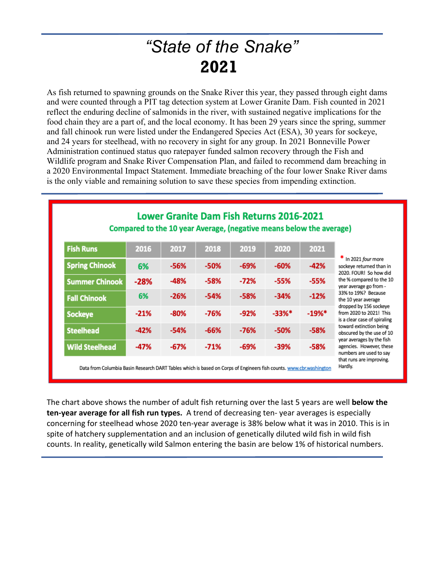## *"State of the Snake"* **2021**

As fish returned to spawning grounds on the Snake River this year, they passed through eight dams and were counted through a PIT tag detection system at Lower Granite Dam. Fish counted in 2021 reflect the enduring decline of salmonids in the river, with sustained negative implications for the food chain they are a part of, and the local economy. It has been 29 years since the spring, summer and fall chinook run were listed under the Endangered Species Act (ESA), 30 years for sockeye, and 24 years for steelhead, with no recovery in sight for any group. In 2021 Bonneville Power Administration continued status quo ratepayer funded salmon recovery through the Fish and Wildlife program and Snake River Compensation Plan, and failed to recommend dam breaching in a 2020 Environmental Impact Statement. Immediate breaching of the four lower Snake River dams is the only viable and remaining solution to save these species from impending extinction.

|                       |        |        |        |        | Compared to the 10 year Average, (negative means below the average) |          |                                                                                                                                                                                                                                                                                                                                                                                                                  |
|-----------------------|--------|--------|--------|--------|---------------------------------------------------------------------|----------|------------------------------------------------------------------------------------------------------------------------------------------------------------------------------------------------------------------------------------------------------------------------------------------------------------------------------------------------------------------------------------------------------------------|
| <b>Fish Runs</b>      | 2016   | 2017   | 2018   | 2019   | 2020                                                                | 2021     | $*$ In 2021 four more<br>sockeye returned than in<br>2020. FOUR! So how did<br>the % compared to the 10<br>year average go from -<br>33% to 19%? Because<br>the 10 year average<br>dropped by 156 sockeye<br>from 2020 to 2021! This<br>is a clear case of spiraling<br>toward extinction being<br>obscured by the use of 10<br>year averages by the fish<br>agencies. However, these<br>numbers are used to say |
| <b>Spring Chinook</b> | 6%     | -56%   | $-50%$ | $-69%$ | -60%                                                                | $-42%$   |                                                                                                                                                                                                                                                                                                                                                                                                                  |
| <b>Summer Chinook</b> | $-28%$ | -48%   | $-58%$ | $-72%$ | $-55%$                                                              | $-55%$   |                                                                                                                                                                                                                                                                                                                                                                                                                  |
| <b>Fall Chinook</b>   | 6%     | $-26%$ | $-54%$ | $-58%$ | $-34%$                                                              | $-12%$   |                                                                                                                                                                                                                                                                                                                                                                                                                  |
| <b>Sockeye</b>        | $-21%$ | $-80%$ | $-76%$ | $-92%$ | $-33%$ *                                                            | $-19%$ * |                                                                                                                                                                                                                                                                                                                                                                                                                  |
| <b>Steelhead</b>      | $-42%$ | $-54%$ | $-66%$ | $-76%$ | $-50%$                                                              | $-58%$   |                                                                                                                                                                                                                                                                                                                                                                                                                  |
| <b>Wild Steelhead</b> | -47%   | $-67%$ | $-71%$ | $-69%$ | $-39%$                                                              | $-58%$   |                                                                                                                                                                                                                                                                                                                                                                                                                  |

Hardly.

Data from Columbia Basin Research DART Tables which is based on Corps of Engineers fish counts. www.cbr.washington

The chart above shows the number of adult fish returning over the last 5 years are well **below the ten-year average for all fish run types.** A trend of decreasing ten- year averages is especially concerning for steelhead whose 2020 ten-year average is 38% below what it was in 2010. This is in spite of hatchery supplementation and an inclusion of genetically diluted wild fish in wild fish counts. In reality, genetically wild Salmon entering the basin are below 1% of historical numbers.